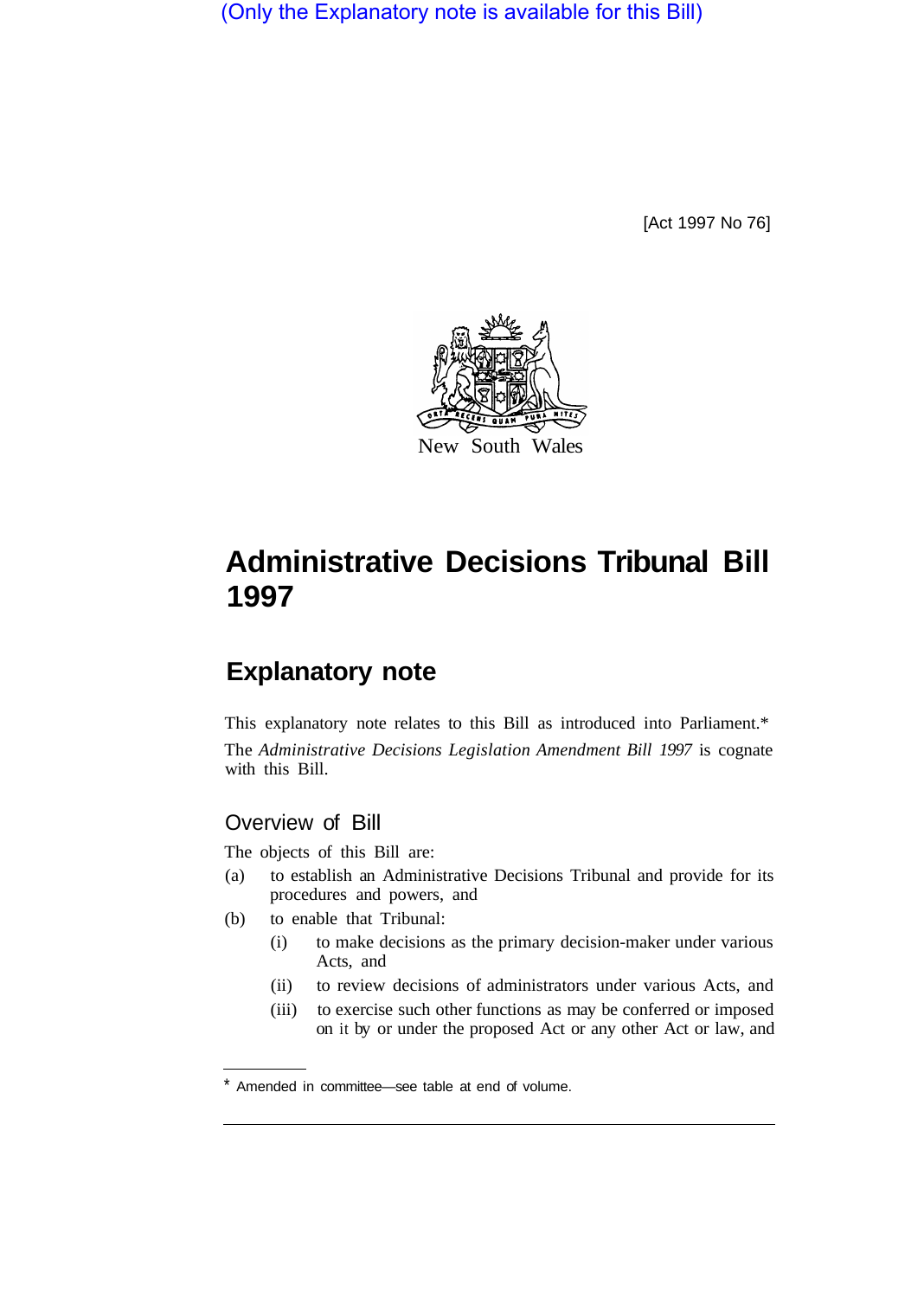(Only the Explanatory note is available for this Bill)

[Act 1997 No 76]



# **Administrative Decisions Tribunal Bill 1997**

## **Explanatory note**

This explanatory note relates to this Bill as introduced into Parliament.\* The *Administrative Decisions Legislation Amendment Bill 1997* is cognate with this Bill.

## Overview of Bill

The objects of this Bill are:

- (a) to establish an Administrative Decisions Tribunal and provide for its procedures and powers, and
- (b) to enable that Tribunal:
	- (i) to make decisions as the primary decision-maker under various Acts, and
	- (ii) to review decisions of administrators under various Acts, and
	- (iii) to exercise such other functions as may be conferred or imposed on it by or under the proposed Act or any other Act or law, and

<sup>\*</sup> Amended in committee—see table at end of volume.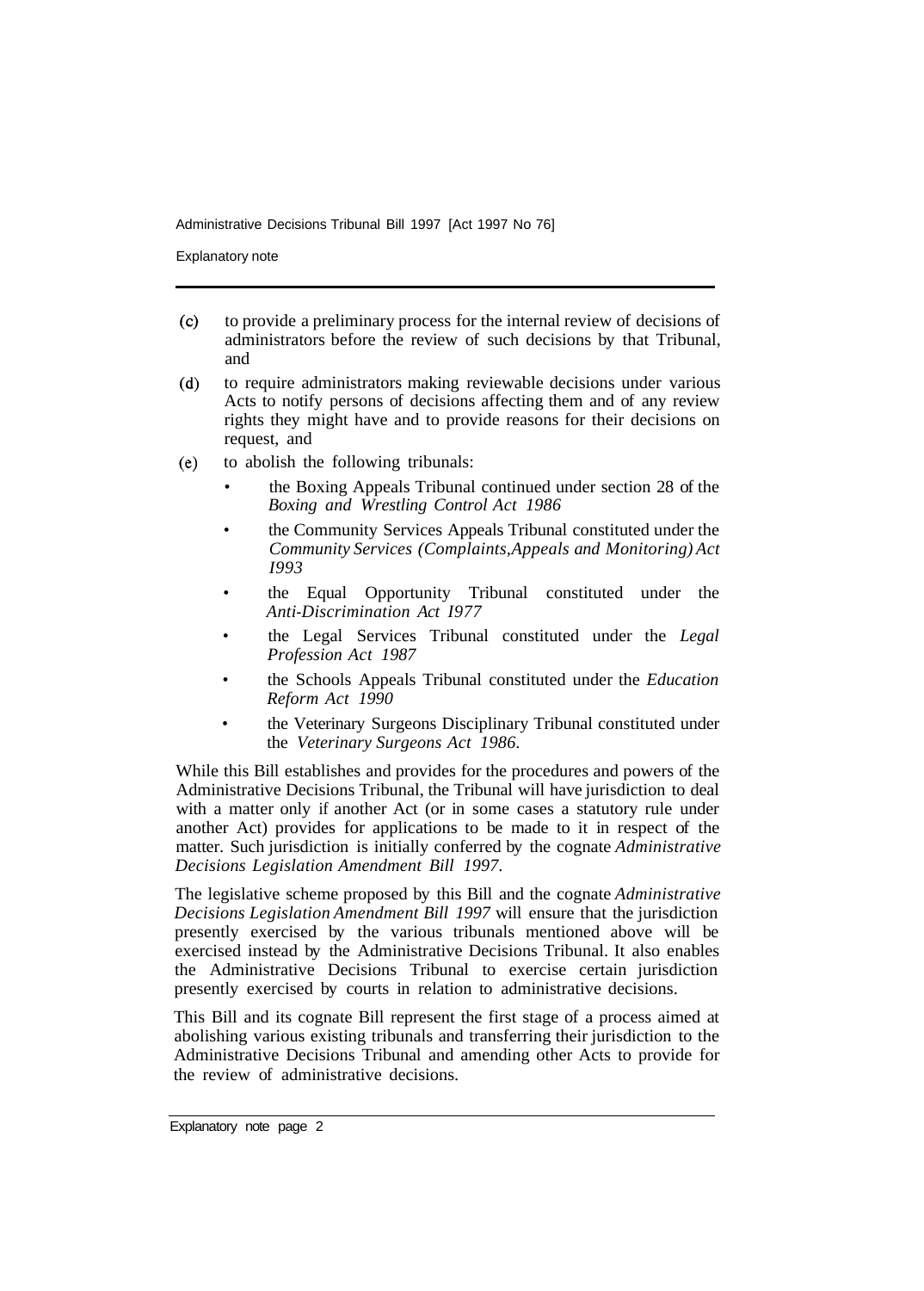Explanatory note

- to provide a preliminary process for the internal review of decisions of  $(c)$ administrators before the review of such decisions by that Tribunal, and
- to require administrators making reviewable decisions under various  $(d)$ Acts to notify persons of decisions affecting them and of any review rights they might have and to provide reasons for their decisions on request, and
- to abolish the following tribunals:  $(e)$ 
	- the Boxing Appeals Tribunal continued under section 28 of the *Boxing and Wrestling Control Act 1986*
	- the Community Services Appeals Tribunal constituted under the *Community Services (Complaints, Appeals and Monitoring) Act I993*
	- the Equal Opportunity Tribunal constituted under the *Anti-Discrimination Act I977*
	- the Legal Services Tribunal constituted under the *Legal Profession Act 1987*
	- the Schools Appeals Tribunal constituted under the *Education Reform Act 1990*
	- the Veterinary Surgeons Disciplinary Tribunal constituted under the *Veterinary Surgeons Act 1986.*

While this Bill establishes and provides for the procedures and powers of the Administrative Decisions Tribunal, the Tribunal will have jurisdiction to deal with a matter only if another Act (or in some cases a statutory rule under another Act) provides for applications to be made to it in respect of the matter. Such jurisdiction is initially conferred by the cognate *Administrative Decisions Legislation Amendment Bill 1997.* 

The legislative scheme proposed by this Bill and the cognate *Administrative Decisions Legislation Amendment Bill 1997* will ensure that the jurisdiction presently exercised by the various tribunals mentioned above will be exercised instead by the Administrative Decisions Tribunal. It also enables the Administrative Decisions Tribunal to exercise certain jurisdiction presently exercised by courts in relation to administrative decisions.

This Bill and its cognate Bill represent the first stage of a process aimed at abolishing various existing tribunals and transferring their jurisdiction to the Administrative Decisions Tribunal and amending other Acts to provide for the review of administrative decisions.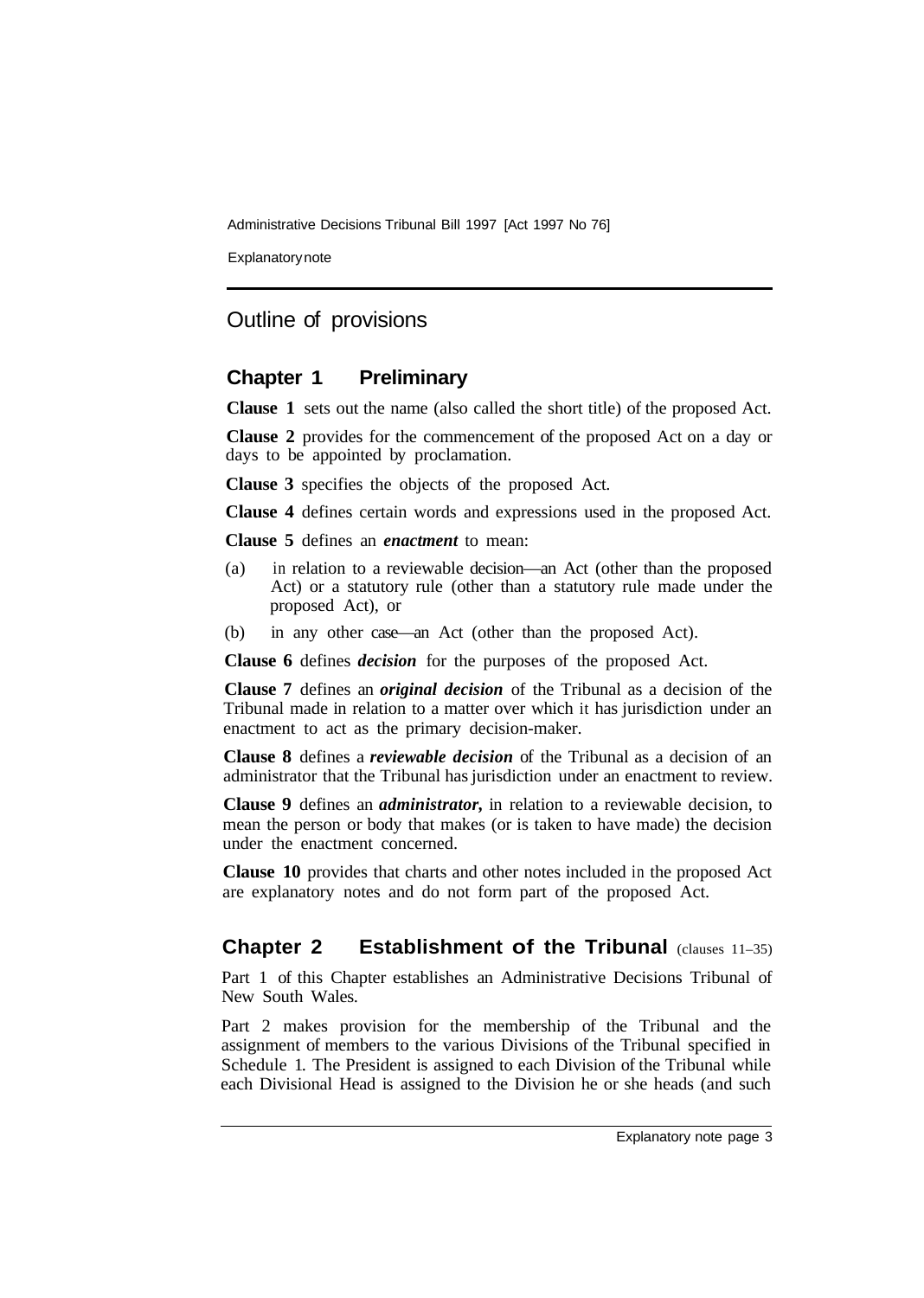Explanatory note

## Outline of provisions

## **Chapter 1 Preliminary**

**Clause 1** sets out the name (also called the short title) of the proposed Act.

**Clause 2** provides for the commencement of the proposed Act on a day or days to be appointed by proclamation.

**Clause 3** specifies the objects of the proposed Act.

**Clause 4** defines certain words and expressions used in the proposed Act.

**Clause 5** defines an *enactment* to mean:

- (a) in relation to a reviewable decision—an Act (other than the proposed Act) or a statutory rule (other than a statutory rule made under the proposed Act), or
- (b) in any other case—an Act (other than the proposed Act).

**Clause 6** defines *decision* for the purposes of the proposed Act.

**Clause 7** defines an *original decision* of the Tribunal as a decision of the Tribunal made in relation to a matter over which it has jurisdiction under an enactment to act as the primary decision-maker.

**Clause 8** defines a *reviewable decision* of the Tribunal as a decision of an administrator that the Tribunal has jurisdiction under an enactment to review.

**Clause 9** defines an *administrator,* in relation to a reviewable decision, to mean the person or body that makes (or is taken to have made) the decision under the enactment concerned.

**Clause 10** provides that charts and other notes included in the proposed Act are explanatory notes and do not form part of the proposed Act.

## **Chapter 2 Establishment of the Tribunal (clauses 11-35)**

Part 1 of this Chapter establishes an Administrative Decisions Tribunal of New South Wales.

Part 2 makes provision for the membership of the Tribunal and the assignment of members to the various Divisions of the Tribunal specified in Schedule 1. The President is assigned to each Division of the Tribunal while each Divisional Head is assigned to the Division he or she heads (and such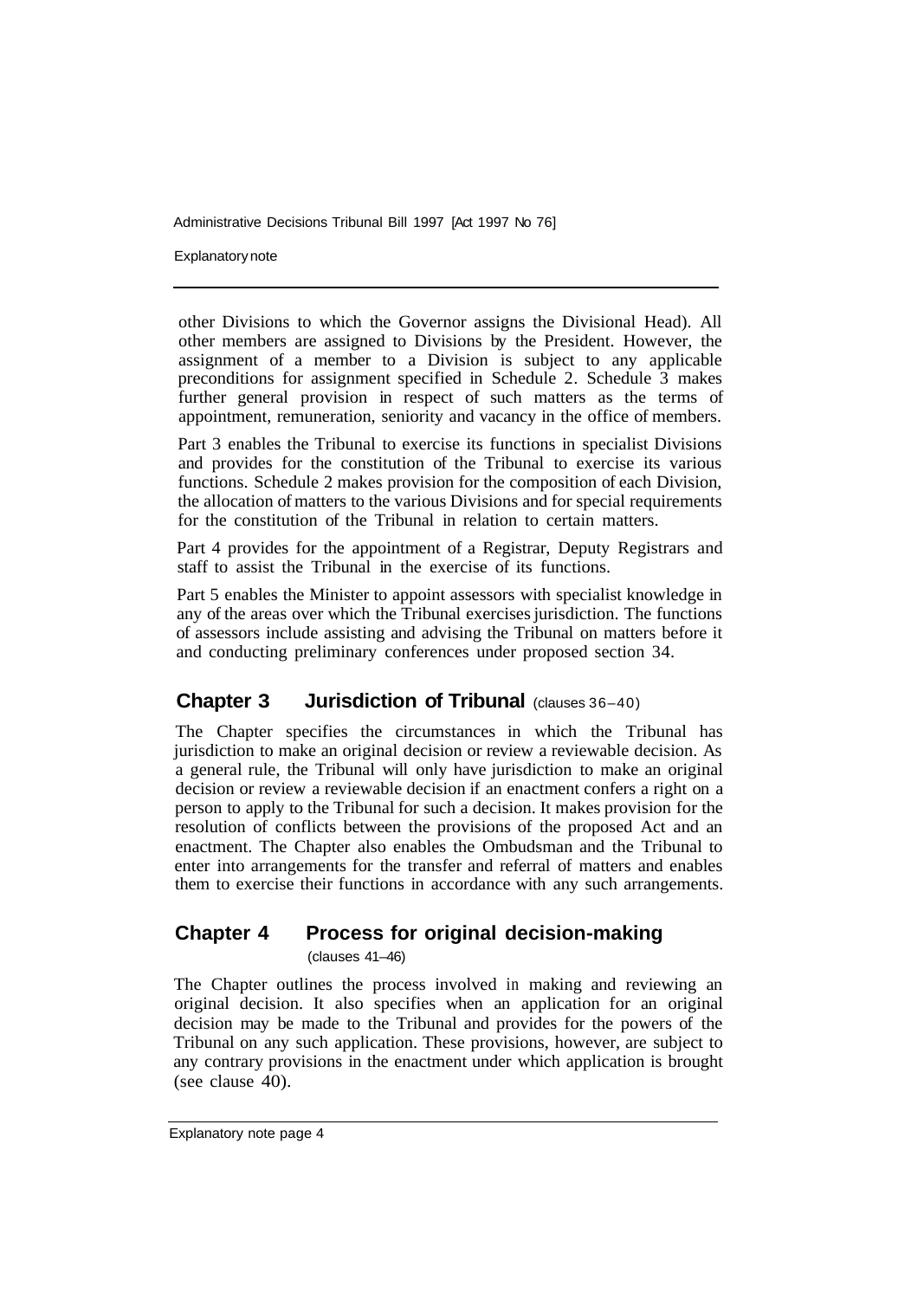Explanatory note

other Divisions to which the Governor assigns the Divisional Head). All other members are assigned to Divisions by the President. However, the assignment of a member to a Division is subject to any applicable preconditions for assignment specified in Schedule 2. Schedule 3 makes further general provision in respect of such matters as the terms of appointment, remuneration, seniority and vacancy in the office of members.

Part 3 enables the Tribunal to exercise its functions in specialist Divisions and provides for the constitution of the Tribunal to exercise its various functions. Schedule 2 makes provision for the composition of each Division, the allocation of matters to the various Divisions and for special requirements for the constitution of the Tribunal in relation to certain matters.

Part 4 provides for the appointment of a Registrar, Deputy Registrars and staff to assist the Tribunal in the exercise of its functions.

Part 5 enables the Minister to appoint assessors with specialist knowledge in any of the areas over which the Tribunal exercises jurisdiction. The functions of assessors include assisting and advising the Tribunal on matters before it and conducting preliminary conferences under proposed section 34.

### **Chapter 3 Jurisdiction of Tribunal (clauses 36-40)**

The Chapter specifies the circumstances in which the Tribunal has jurisdiction to make an original decision or review a reviewable decision. As a general rule, the Tribunal will only have jurisdiction to make an original decision or review a reviewable decision if an enactment confers a right on a person to apply to the Tribunal for such a decision. It makes provision for the resolution of conflicts between the provisions of the proposed Act and an enactment. The Chapter also enables the Ombudsman and the Tribunal to enter into arrangements for the transfer and referral of matters and enables them to exercise their functions in accordance with any such arrangements.

## **Chapter 4 Process for original decision-making**

(clauses 41–46)

The Chapter outlines the process involved in making and reviewing an original decision. It also specifies when an application for an original decision may be made to the Tribunal and provides for the powers of the Tribunal on any such application. These provisions, however, are subject to any contrary provisions in the enactment under which application is brought (see clause  $40$ ).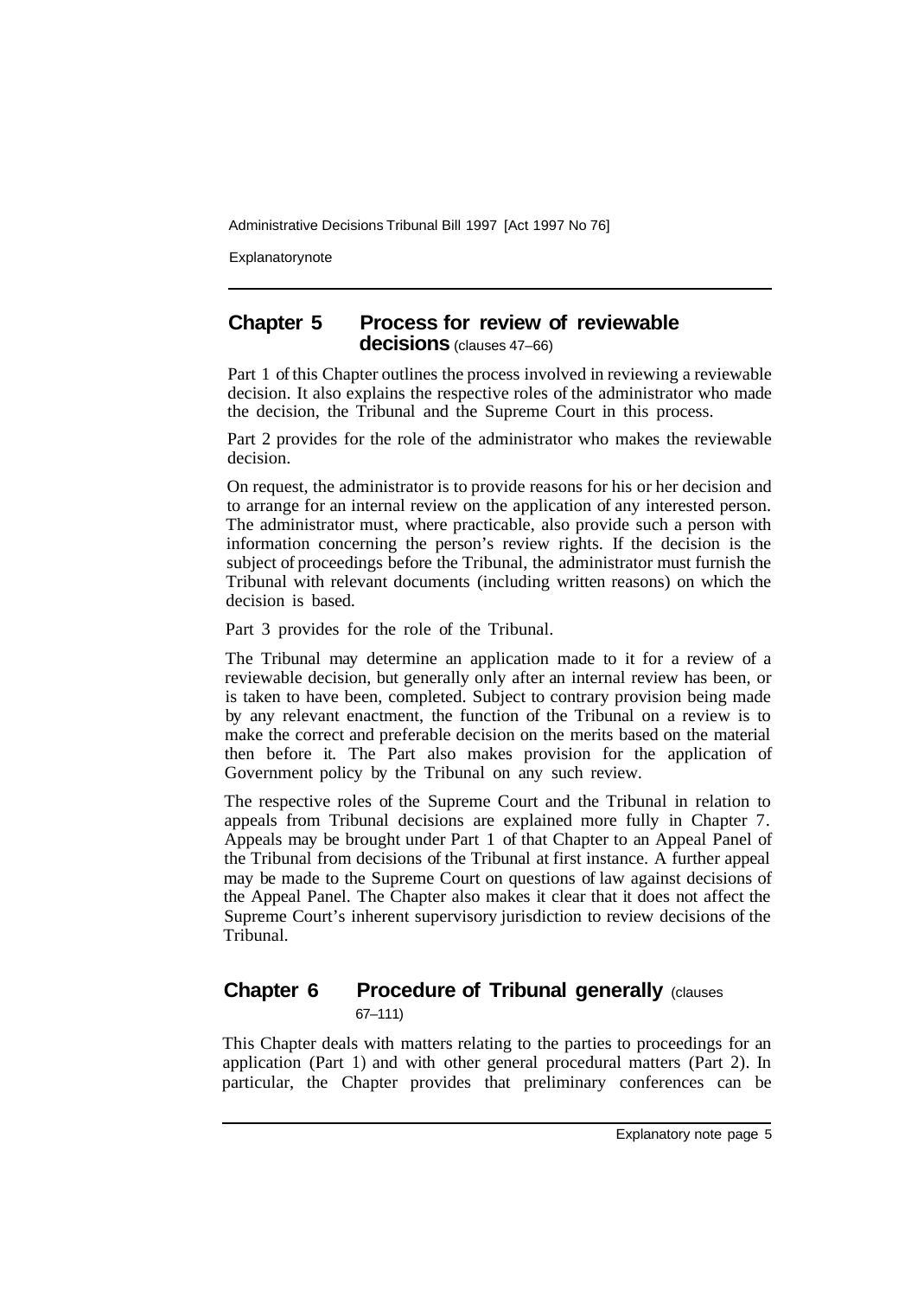**Explanatory note** 

## **Chapter 5 Process for review of reviewable decisions** (clauses 47–66)

Part 1 of this Chapter outlines the process involved in reviewing a reviewable decision. It also explains the respective roles of the administrator who made the decision, the Tribunal and the Supreme Court in this process.

Part 2 provides for the role of the administrator who makes the reviewable decision.

On request, the administrator is to provide reasons for his or her decision and to arrange for an internal review on the application of any interested person. The administrator must, where practicable, also provide such a person with information concerning the person's review rights. If the decision is the subject of proceedings before the Tribunal, the administrator must furnish the Tribunal with relevant documents (including written reasons) on which the decision is based.

Part 3 provides for the role of the Tribunal.

The Tribunal may determine an application made to it for a review of a reviewable decision, but generally only after an internal review has been, or is taken to have been, completed. Subject to contrary provision being made by any relevant enactment, the function of the Tribunal on a review is to make the correct and preferable decision on the merits based on the material then before it. The Part also makes provision for the application of Government policy by the Tribunal on any such review.

The respective roles of the Supreme Court and the Tribunal in relation to appeals from Tribunal decisions are explained more fully in Chapter 7. Appeals may be brought under Part 1 of that Chapter to an Appeal Panel of the Tribunal from decisions of the Tribunal at first instance. A further appeal may be made to the Supreme Court on questions of law against decisions of the Appeal Panel. The Chapter also makes it clear that it does not affect the Supreme Court's inherent supervisory jurisdiction to review decisions of the Tribunal.

## **Chapter 6 Procedure of Tribunal generally (clauses)** 67–111)

This Chapter deals with matters relating to the parties to proceedings for an application (Part 1) and with other general procedural matters (Part 2). In particular, the Chapter provides that preliminary conferences can be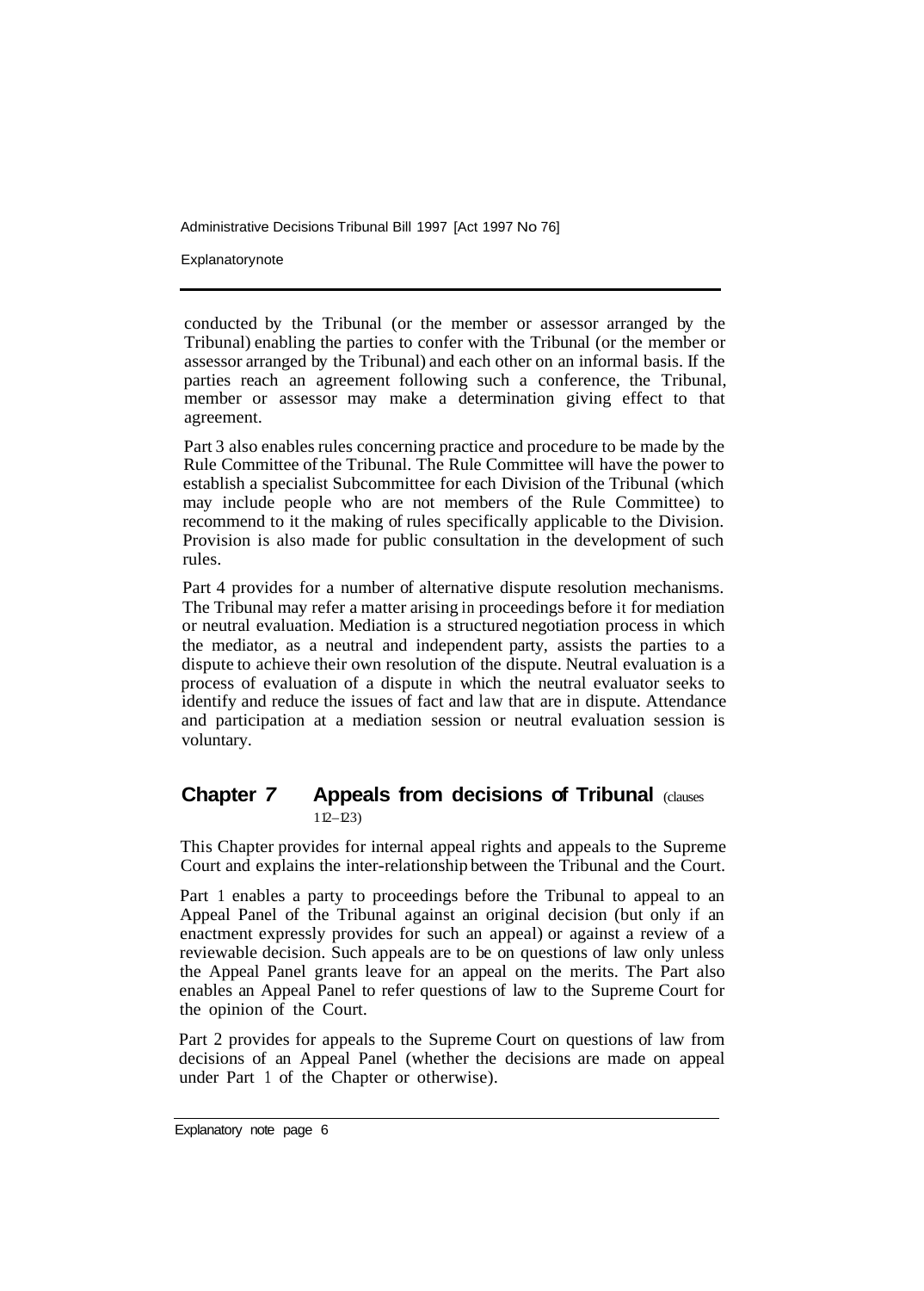**Explanatory note** 

conducted by the Tribunal (or the member or assessor arranged by the Tribunal) enabling the parties to confer with the Tribunal (or the member or assessor arranged by the Tribunal) and each other on an informal basis. If the parties reach an agreement following such a conference, the Tribunal, member or assessor may make a determination giving effect to that agreement.

Part 3 also enables rules concerning practice and procedure to be made by the Rule Committee of the Tribunal. The Rule Committee will have the power to establish a specialist Subcommittee for each Division of the Tribunal (which may include people who are not members of the Rule Committee) to recommend to it the making of rules specifically applicable to the Division. Provision is also made for public consultation in the development of such rules.

Part 4 provides for a number of alternative dispute resolution mechanisms. The Tribunal may refer a matter arising in proceedings before it for mediation or neutral evaluation. Mediation is a structured negotiation process in which the mediator, as a neutral and independent party, assists the parties to a dispute to achieve their own resolution of the dispute. Neutral evaluation is a process of evaluation of a dispute in which the neutral evaluator seeks to identify and reduce the issues of fact and law that are in dispute. Attendance and participation at a mediation session or neutral evaluation session is voluntary.

## **Chapter** *7* **Appeals from decisions of Tribunal** (clauses  $112 - 123$

This Chapter provides for internal appeal rights and appeals to the Supreme Court and explains the inter-relationship between the Tribunal and the Court.

Part 1 enables a party to proceedings before the Tribunal to appeal to an Appeal Panel of the Tribunal against an original decision (but only if an enactment expressly provides for such an appeal) or against a review of a reviewable decision. Such appeals are to be on questions of law only unless the Appeal Panel grants leave for an appeal on the merits. The Part also enables an Appeal Panel to refer questions of law to the Supreme Court for the opinion of the Court.

Part 2 provides for appeals to the Supreme Court on questions of law from decisions of an Appeal Panel (whether the decisions are made on appeal under Part 1 of the Chapter or otherwise).